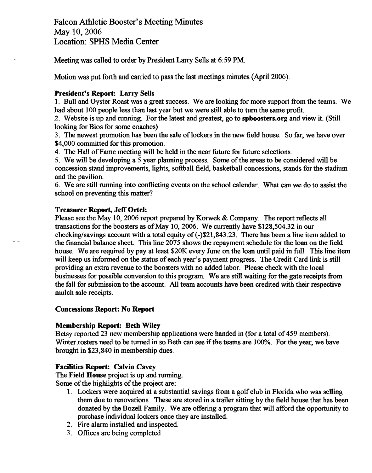Meeting was called to order by President Larry Sells at 6:59 PM.

Motion was put forth and carried to pass the last meetings minutes (April 2006).

#### **President's Report: Larry Sells**

1. Bull and Oyster Roast was a great success. We are looking for more support fiom the teams. We had about 100 people less than last year but we were still able to turn the same profit.

2. Website is up and running. For the latest and greatest, go to **spboosters.org** and view it. (Still looking for Bios for some coaches)

3. The newest promotion has been the sale of lockers in the new field house. So far, we have over \$4,000 committed for this promotion.

4. The Hall of Fame meeting will be held in the near future for future selections.

5. We will be developing a 5 year planning process. Some of the areas to be considered will be concession stand improvements, lights, softball field, basketball concessions, stands for the stadium and the pavilion.

6. We are still running into conflicting events on the school calendar. What can we do to assist the school on preventing this matter?

### **Treasurer Report, Jeff Ortel:**

Please see the May 10, 2006 report prepared by Korwek & Company. The report reflects all transactions for the boosters as of May 10,2006. We currently have \$128,504.32 in our checking/savings account with a total equity of  $(-)$ \$21,843.23. There has been a line item added to the financial balance sheet. This line 2075 shows the repayment schedule for the loan on the field house. We are required by pay at least \$20K every June on the loan until paid in full. This line item will keep us informed on the status of each year's payment progress. The Credit Card link is still providing an extra revenue to the boosters with no added labor. Please check with the local businesses for possible conversion to this program. We are still waiting for the gate receipts from the fall for submission to the account. All team accounts have been credited with their respective mulch sale receipts.

# **Concessions Report: No Report**

# **Membership Report: Beth Wiley**

Betsy reported 23 new membership applications were handed in (for a total of 459 members). Winter rosters need to be turned in so Beth can see if the teams are 100%. For the year, we have brought in \$23,840 in membership dues.

# **Facilities Report: Calvin Cavey**

The **Field House** project is up and running.

Some of the highlights of the project are:

- 1. Lockers were acquired at a substantial savings from a golf club in Florida who was selling them due to renovations. These are stored in a trailer sitting by the field house that has been donated by the Bozell Family. We are offering a program that will afford the opportunity to purchase individual lockers once they are installed.
- 2. Fire alarm installed and inspected.
- 3. Offices are being completed